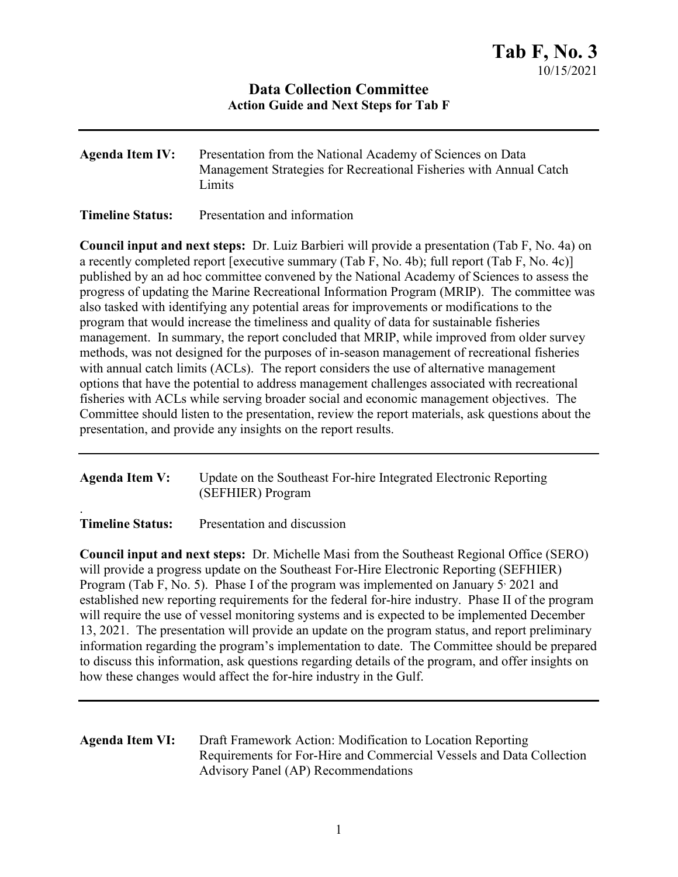# **Data Collection Committee Action Guide and Next Steps for Tab F**

### **Agenda Item IV:** Presentation from the National Academy of Sciences on Data Management Strategies for Recreational Fisheries with Annual Catch Limits

**Timeline Status:** Presentation and information

**Council input and next steps:** Dr. Luiz Barbieri will provide a presentation (Tab F, No. 4a) on a recently completed report [executive summary (Tab F, No. 4b); full report (Tab F, No. 4c)] published by an ad hoc committee convened by the National Academy of Sciences to assess the progress of updating the Marine Recreational Information Program (MRIP). The committee was also tasked with identifying any potential areas for improvements or modifications to the program that would increase the timeliness and quality of data for sustainable fisheries management. In summary, the report concluded that MRIP, while improved from older survey methods, was not designed for the purposes of in-season management of recreational fisheries with annual catch limits (ACLs). The report considers the use of alternative management options that have the potential to address management challenges associated with recreational fisheries with ACLs while serving broader social and economic management objectives. The Committee should listen to the presentation, review the report materials, ask questions about the presentation, and provide any insights on the report results.

## **Agenda Item V:** Update on the Southeast For-hire Integrated Electronic Reporting (SEFHIER) Program

**Timeline Status:** Presentation and discussion

.

**Council input and next steps:** Dr. Michelle Masi from the Southeast Regional Office (SERO) will provide a progress update on the Southeast For-Hire Electronic Reporting (SEFHIER) Program (Tab F, No. 5). Phase I of the program was implemented on January 5 2021 and established new reporting requirements for the federal for-hire industry. Phase II of the program will require the use of vessel monitoring systems and is expected to be implemented December 13, 2021. The presentation will provide an update on the program status, and report preliminary information regarding the program's implementation to date. The Committee should be prepared to discuss this information, ask questions regarding details of the program, and offer insights on how these changes would affect the for-hire industry in the Gulf.

#### **Agenda Item VI:** Draft Framework Action: Modification to Location Reporting Requirements for For-Hire and Commercial Vessels and Data Collection Advisory Panel (AP) Recommendations